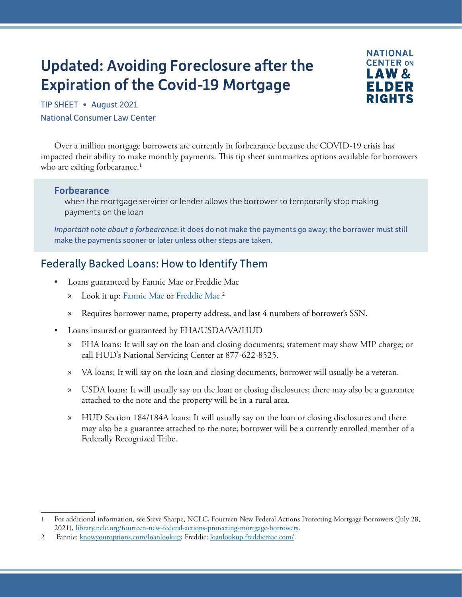# Updated: Avoiding Foreclosure after the Expiration of the Covid-19 Mortgage



TIP SHEET • August 2021 National Consumer Law Center

Over a million mortgage borrowers are currently in forbearance because the COVID-19 crisis has impacted their ability to make monthly payments. This tip sheet summarizes options available for borrowers who are exiting forbearance.<sup>1</sup>

#### Forbearance

when the mortgage servicer or lender allows the borrower to temporarily stop making payments on the loan

*Important note about a forbearance*: it does do not make the payments go away; the borrower must still make the payments sooner or later unless other steps are taken.

# Federally Backed Loans: How to Identify Them

- Loans guaranteed by Fannie Mae or Freddie Mac
	- » Look it up: [Fannie Mae](https://www.knowyouroptions.com/loanlookup) or [Freddie Mac.](https://loanlookup.freddiemac.com/) 2
	- » Requires borrower name, property address, and last 4 numbers of borrower's SSN.
- Loans insured or guaranteed by FHA/USDA/VA/HUD
	- » FHA loans: It will say on the loan and closing documents; statement may show MIP charge; or call HUD's National Servicing Center at 877-622-8525.
	- » VA loans: It will say on the loan and closing documents, borrower will usually be a veteran.
	- » USDA loans: It will usually say on the loan or closing disclosures; there may also be a guarantee attached to the note and the property will be in a rural area.
	- » HUD Section 184/184A loans: It will usually say on the loan or closing disclosures and there may also be a guarantee attached to the note; borrower will be a currently enrolled member of a Federally Recognized Tribe.

<sup>1</sup> For additional information, see Steve Sharpe, NCLC, Fourteen New Federal Actions Protecting Mortgage Borrowers (July 28, 2021), [library.nclc.org/fourteen-new-federal-actions-protecting-mortgage-borrowers.](https://library.nclc.org/fourteen-new-federal-actions-protecting-mortgage-borrowers)

<sup>2</sup> Fannie: [knowyouroptions.com/loanlookup;](https://www.knowyouroptions.com/loanlookup) Freddie: [loanlookup.freddiemac.com/.](https://loanlookup.freddiemac.com/)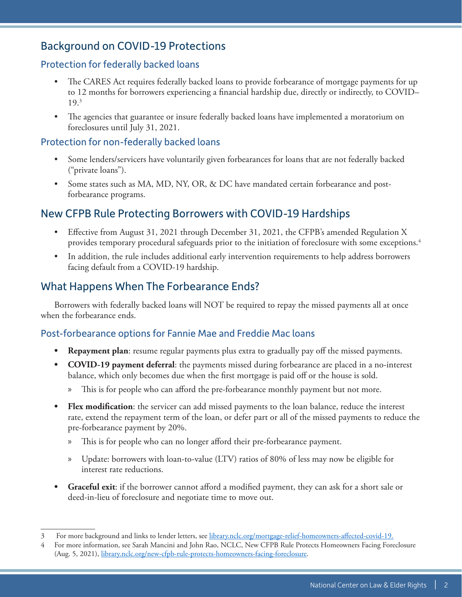# Background on COVID-19 Protections

#### Protection for federally backed loans

- The CARES Act requires federally backed loans to provide forbearance of mortgage payments for up to 12 months for borrowers experiencing a financial hardship due, directly or indirectly, to COVID– 19.3
- The agencies that guarantee or insure federally backed loans have implemented a moratorium on foreclosures until July 31, 2021.

#### Protection for non-federally backed loans

- Some lenders/servicers have voluntarily given forbearances for loans that are not federally backed ("private loans").
- Some states such as MA, MD, NY, OR, & DC have mandated certain forbearance and postforbearance programs.

# New CFPB Rule Protecting Borrowers with COVID-19 Hardships

- Effective from August 31, 2021 through December 31, 2021, the CFPB's amended Regulation X provides temporary procedural safeguards prior to the initiation of foreclosure with some exceptions.4
- In addition, the rule includes additional early intervention requirements to help address borrowers facing default from a COVID-19 hardship.

# What Happens When The Forbearance Ends?

Borrowers with federally backed loans will NOT be required to repay the missed payments all at once when the forbearance ends.

#### Post-forbearance options for Fannie Mae and Freddie Mac loans

- **• Repayment plan**: resume regular payments plus extra to gradually pay off the missed payments.
- **• COVID-19 payment deferral**: the payments missed during forbearance are placed in a no-interest balance, which only becomes due when the first mortgage is paid off or the house is sold.
	- » This is for people who can afford the pre-forbearance monthly payment but not more.
- **• Flex modification**: the servicer can add missed payments to the loan balance, reduce the interest rate, extend the repayment term of the loan, or defer part or all of the missed payments to reduce the pre-forbearance payment by 20%.
	- » This is for people who can no longer afford their pre-forbearance payment.
	- » Update: borrowers with loan-to-value (LTV) ratios of 80% of less may now be eligible for interest rate reductions.
- **• Graceful exit**: if the borrower cannot afford a modified payment, they can ask for a short sale or deed-in-lieu of foreclosure and negotiate time to move out.

<sup>3</sup> For more background and links to lender letters, see [library.nclc.org/mortgage-relief-homeowners-affected-covid-19](https://library.nclc.org/mortgage-relief-homeowners-affected-covid-19).

<sup>4</sup> For more information, see Sarah Mancini and John Rao, NCLC, New CFPB Rule Protects Homeowners Facing Foreclosure (Aug. 5, 2021), [library.nclc.org/new-cfpb-rule-protects-homeowners-facing-foreclosure.](https://library.nclc.org/new-cfpb-rule-protects-homeowners-facing-foreclosure)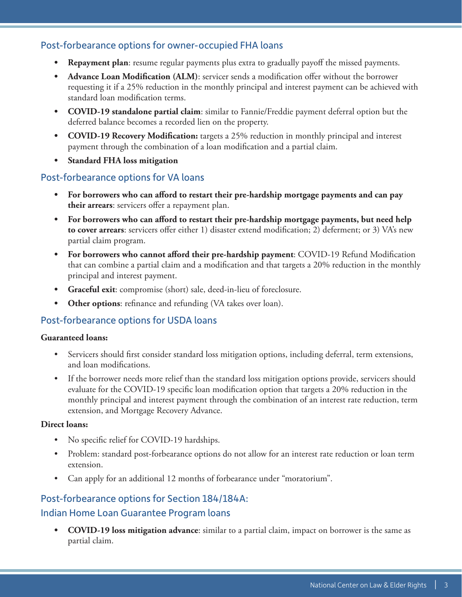### Post-forbearance options for owner-occupied FHA loans

- **• Repayment plan**: resume regular payments plus extra to gradually payoff the missed payments.
- **• Advance Loan Modification (ALM)**: servicer sends a modification offer without the borrower requesting it if a 25% reduction in the monthly principal and interest payment can be achieved with standard loan modification terms.
- **• COVID-19 standalone partial claim**: similar to Fannie/Freddie payment deferral option but the deferred balance becomes a recorded lien on the property.
- **• COVID-19 Recovery Modification:** targets a 25% reduction in monthly principal and interest payment through the combination of a loan modification and a partial claim.
- **• Standard FHA loss mitigation**

#### Post-forbearance options for VA loans

- **• For borrowers who can afford to restart their pre-hardship mortgage payments and can pay their arrears**: servicers offer a repayment plan.
- **• For borrowers who can afford to restart their pre-hardship mortgage payments, but need help to cover arrears**: servicers offer either 1) disaster extend modification; 2) deferment; or 3) VA's new partial claim program.
- **• For borrowers who cannot afford their pre-hardship payment**: COVID-19 Refund Modification that can combine a partial claim and a modification and that targets a 20% reduction in the monthly principal and interest payment.
- **• Graceful exit**: compromise (short) sale, deed-in-lieu of foreclosure.
- **Other options**: refinance and refunding (VA takes over loan).

#### Post-forbearance options for USDA loans

#### **Guaranteed loans:**

- Servicers should first consider standard loss mitigation options, including deferral, term extensions, and loan modifications.
- If the borrower needs more relief than the standard loss mitigation options provide, servicers should evaluate for the COVID-19 specific loan modification option that targets a 20% reduction in the monthly principal and interest payment through the combination of an interest rate reduction, term extension, and Mortgage Recovery Advance.

#### **Direct loans:**

- No specific relief for COVID-19 hardships.
- Problem: standard post-forbearance options do not allow for an interest rate reduction or loan term extension.
- Can apply for an additional 12 months of forbearance under "moratorium".

#### Post-forbearance options for Section 184/184A:

#### Indian Home Loan Guarantee Program loans

**• COVID-19 loss mitigation advance**: similar to a partial claim, impact on borrower is the same as partial claim.